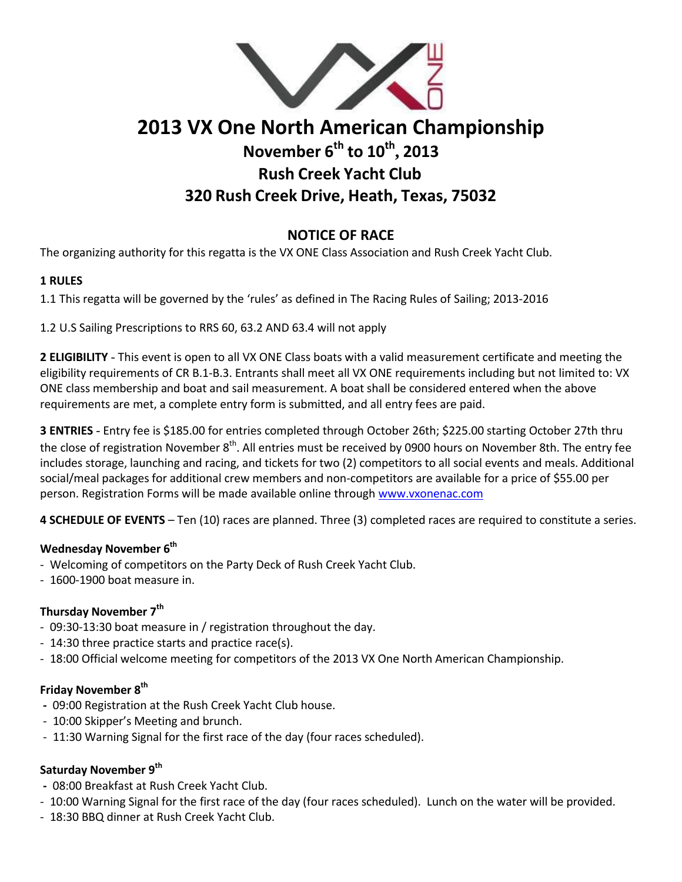

# **2013 VX One North American Championship November 6th to 10th , 2013 Rush Creek Yacht Club 320 Rush Creek Drive, Heath, Texas, 75032**

# **NOTICE OF RACE**

The organizing authority for this regatta is the VX ONE Class Association and Rush Creek Yacht Club.

## **1 RULES**

1.1 This regatta will be governed by the 'rules' as defined in The Racing Rules of Sailing; 2013‐2016

1.2 U.S Sailing Prescriptions to RRS 60, 63.2 AND 63.4 will not apply

**2 ELIGIBILITY** - This event is open to all VX ONE Class boats with a valid measurement certificate and meeting the eligibility requirements of CR B.1‐B.3. Entrants shall meet all VX ONE requirements including but not limited to: VX ONE class membership and boat and sail measurement. A boat shall be considered entered when the above requirements are met, a complete entry form is submitted, and all entry fees are paid.

**3 ENTRIES** - Entry fee is \$185.00 for entries completed through October 26th; \$225.00 starting October 27th thru the close of registration November 8<sup>th</sup>. All entries must be received by 0900 hours on November 8th. The entry fee includes storage, launching and racing, and tickets for two (2) competitors to all social events and meals. Additional social/meal packages for additional crew members and non‐competitors are available for a price of \$55.00 per person. Registration Forms will be made available online through www.vxonenac.com

**4 SCHEDULE OF EVENTS** – Ten (10) races are planned. Three (3) completed races are required to constitute a series.

#### **Wednesday November 6th**

- ‐ Welcoming of competitors on the Party Deck of Rush Creek Yacht Club.
- ‐ 1600‐1900 boat measure in.

# **Thursday November 7th**

- ‐ 09:30‐13:30 boat measure in / registration throughout the day.
- ‐ 14:30 three practice starts and practice race(s).
- ‐ 18:00 Official welcome meeting for competitors of the 2013 VX One North American Championship.

#### **Friday November 8th**

- **‐** 09:00 Registration at the Rush Creek Yacht Club house.
- ‐ 10:00 Skipper's Meeting and brunch.
- ‐ 11:30 Warning Signal for the first race of the day (four races scheduled).

## **Saturday November 9th**

- **‐** 08:00 Breakfast at Rush Creek Yacht Club.
- ‐ 10:00 Warning Signal for the first race of the day (four races scheduled). Lunch on the water will be provided.
- ‐ 18:30 BBQ dinner at Rush Creek Yacht Club.